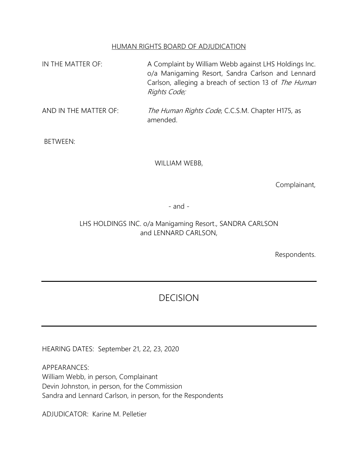#### HUMAN RIGHTS BOARD OF ADJUDICATION

- IN THE MATTER OF: A Complaint by William Webb against LHS Holdings Inc. o/a Manigaming Resort, Sandra Carlson and Lennard Carlson, alleging a breach of section 13 of The Human Rights Code;
- AND IN THE MATTER OF: The Human Rights Code, C.C.S.M. Chapter H175, as amended.

BETWEEN:

WILLIAM WEBB,

Complainant,

- and -

## LHS HOLDINGS INC. o/a Manigaming Resort., SANDRA CARLSON and LENNARD CARLSON,

Respondents.

# DECISION

HEARING DATES: September 21, 22, 23, 2020

APPEARANCES: William Webb, in person, Complainant Devin Johnston, in person, for the Commission Sandra and Lennard Carlson, in person, for the Respondents

ADJUDICATOR: Karine M. Pelletier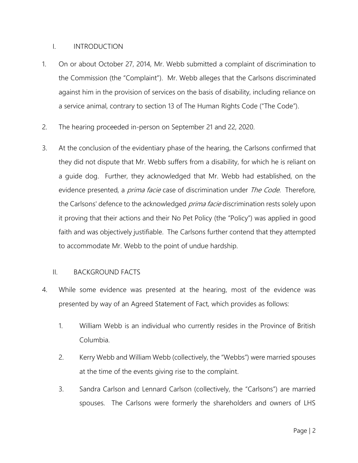#### I. INTRODUCTION

- 1. On or about October 27, 2014, Mr. Webb submitted a complaint of discrimination to the Commission (the "Complaint"). Mr. Webb alleges that the Carlsons discriminated against him in the provision of services on the basis of disability, including reliance on a service animal, contrary to section 13 of The Human Rights Code ("The Code").
- 2. The hearing proceeded in-person on September 21 and 22, 2020.
- 3. At the conclusion of the evidentiary phase of the hearing, the Carlsons confirmed that they did not dispute that Mr. Webb suffers from a disability, for which he is reliant on a guide dog. Further, they acknowledged that Mr. Webb had established, on the evidence presented, a *prima facie* case of discrimination under *The Code*. Therefore, the Carlsons' defence to the acknowledged *prima facie* discrimination rests solely upon it proving that their actions and their No Pet Policy (the "Policy") was applied in good faith and was objectively justifiable. The Carlsons further contend that they attempted to accommodate Mr. Webb to the point of undue hardship.

### II. BACKGROUND FACTS

- 4. While some evidence was presented at the hearing, most of the evidence was presented by way of an Agreed Statement of Fact, which provides as follows:
	- 1. William Webb is an individual who currently resides in the Province of British Columbia.
	- 2. Kerry Webb and William Webb (collectively, the "Webbs") were married spouses at the time of the events giving rise to the complaint.
	- 3. Sandra Carlson and Lennard Carlson (collectively, the "Carlsons") are married spouses. The Carlsons were formerly the shareholders and owners of LHS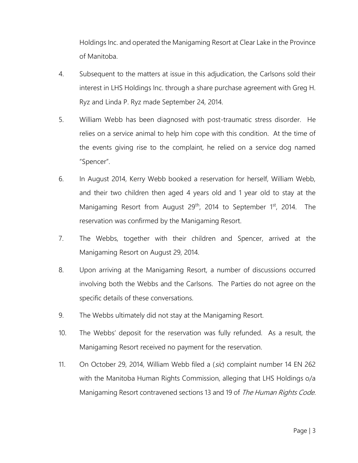Holdings Inc. and operated the Manigaming Resort at Clear Lake in the Province of Manitoba.

- 4. Subsequent to the matters at issue in this adjudication, the Carlsons sold their interest in LHS Holdings Inc. through a share purchase agreement with Greg H. Ryz and Linda P. Ryz made September 24, 2014.
- 5. William Webb has been diagnosed with post-traumatic stress disorder. He relies on a service animal to help him cope with this condition. At the time of the events giving rise to the complaint, he relied on a service dog named "Spencer".
- 6. In August 2014, Kerry Webb booked a reservation for herself, William Webb, and their two children then aged 4 years old and 1 year old to stay at the Manigaming Resort from August 29<sup>th</sup>, 2014 to September 1<sup>st</sup>, 2014. The reservation was confirmed by the Manigaming Resort.
- 7. The Webbs, together with their children and Spencer, arrived at the Manigaming Resort on August 29, 2014.
- 8. Upon arriving at the Manigaming Resort, a number of discussions occurred involving both the Webbs and the Carlsons. The Parties do not agree on the specific details of these conversations.
- 9. The Webbs ultimately did not stay at the Manigaming Resort.
- 10. The Webbs' deposit for the reservation was fully refunded. As a result, the Manigaming Resort received no payment for the reservation.
- 11. On October 29, 2014, William Webb filed a (sic) complaint number 14 EN 262 with the Manitoba Human Rights Commission, alleging that LHS Holdings o/a Manigaming Resort contravened sections 13 and 19 of The Human Rights Code.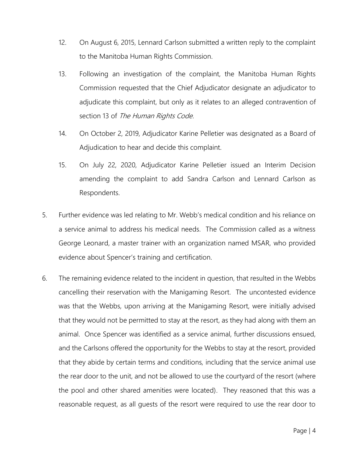- 12. On August 6, 2015, Lennard Carlson submitted a written reply to the complaint to the Manitoba Human Rights Commission.
- 13. Following an investigation of the complaint, the Manitoba Human Rights Commission requested that the Chief Adjudicator designate an adjudicator to adjudicate this complaint, but only as it relates to an alleged contravention of section 13 of The Human Rights Code.
- 14. On October 2, 2019, Adjudicator Karine Pelletier was designated as a Board of Adjudication to hear and decide this complaint.
- 15. On July 22, 2020, Adjudicator Karine Pelletier issued an Interim Decision amending the complaint to add Sandra Carlson and Lennard Carlson as Respondents.
- 5. Further evidence was led relating to Mr. Webb's medical condition and his reliance on a service animal to address his medical needs. The Commission called as a witness George Leonard, a master trainer with an organization named MSAR, who provided evidence about Spencer's training and certification.
- 6. The remaining evidence related to the incident in question, that resulted in the Webbs cancelling their reservation with the Manigaming Resort. The uncontested evidence was that the Webbs, upon arriving at the Manigaming Resort, were initially advised that they would not be permitted to stay at the resort, as they had along with them an animal. Once Spencer was identified as a service animal, further discussions ensued, and the Carlsons offered the opportunity for the Webbs to stay at the resort, provided that they abide by certain terms and conditions, including that the service animal use the rear door to the unit, and not be allowed to use the courtyard of the resort (where the pool and other shared amenities were located). They reasoned that this was a reasonable request, as all guests of the resort were required to use the rear door to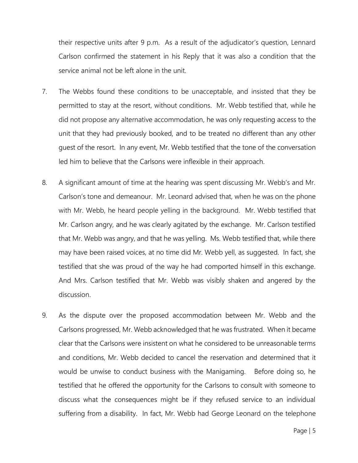their respective units after 9 p.m. As a result of the adjudicator's question, Lennard Carlson confirmed the statement in his Reply that it was also a condition that the service animal not be left alone in the unit.

- 7. The Webbs found these conditions to be unacceptable, and insisted that they be permitted to stay at the resort, without conditions. Mr. Webb testified that, while he did not propose any alternative accommodation, he was only requesting access to the unit that they had previously booked, and to be treated no different than any other guest of the resort. In any event, Mr. Webb testified that the tone of the conversation led him to believe that the Carlsons were inflexible in their approach.
- 8. A significant amount of time at the hearing was spent discussing Mr. Webb's and Mr. Carlson's tone and demeanour. Mr. Leonard advised that, when he was on the phone with Mr. Webb, he heard people yelling in the background. Mr. Webb testified that Mr. Carlson angry, and he was clearly agitated by the exchange. Mr. Carlson testified that Mr. Webb was angry, and that he was yelling. Ms. Webb testified that, while there may have been raised voices, at no time did Mr. Webb yell, as suggested. In fact, she testified that she was proud of the way he had comported himself in this exchange. And Mrs. Carlson testified that Mr. Webb was visibly shaken and angered by the discussion.
- 9. As the dispute over the proposed accommodation between Mr. Webb and the Carlsons progressed, Mr. Webb acknowledged that he was frustrated. When it became clear that the Carlsons were insistent on what he considered to be unreasonable terms and conditions, Mr. Webb decided to cancel the reservation and determined that it would be unwise to conduct business with the Manigaming. Before doing so, he testified that he offered the opportunity for the Carlsons to consult with someone to discuss what the consequences might be if they refused service to an individual suffering from a disability. In fact, Mr. Webb had George Leonard on the telephone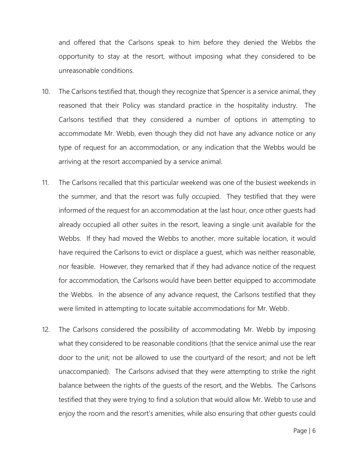and offered that the Carlsons speak to him before they denied the Webbs the opportunity to stay at the resort, without imposing what they considered to be unreasonable conditions.

- 10. The Carlsons testified that, though they recognize that Spencer is a service animal, they reasoned that their Policy was standard practice in the hospitality industry. The Carlsons testified that they considered a number of options in attempting to accommodate Mr. Webb, even though they did not have any advance notice or any type of request for an accommodation, or any indication that the Webbs would be arriving at the resort accompanied by a service animal.
- 11. The Carlsons recalled that this particular weekend was one of the busiest weekends in the summer, and that the resort was fully occupied. They testified that they were informed of the request for an accommodation at the last hour, once other guests had already occupied all other suites in the resort, leaving a single unit available for the Webbs. If they had moved the Webbs to another, more suitable location, it would have required the Carlsons to evict or displace a guest, which was neither reasonable, nor feasible. However, they remarked that if they had advance notice of the request for accommodation, the Carlsons would have been better equipped to accommodate the Webbs. In the absence of any advance request, the Carlsons testified that they were limited in attempting to locate suitable accommodations for Mr. Webb.
- 12. The Carlsons considered the possibility of accommodating Mr. Webb by imposing what they considered to be reasonable conditions (that the service animal use the rear door to the unit; not be allowed to use the courtyard of the resort; and not be left unaccompanied). The Carlsons advised that they were attempting to strike the right balance between the rights of the guests of the resort, and the Webbs. The Carlsons testified that they were trying to find a solution that would allow Mr. Webb to use and enjoy the room and the resort's amenities, while also ensuring that other guests could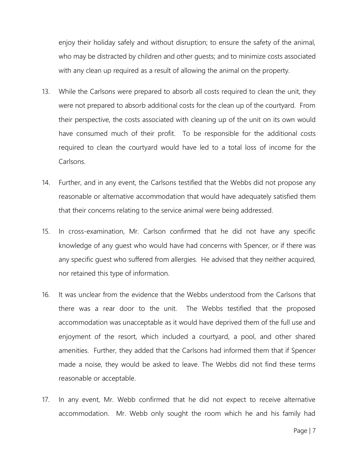enjoy their holiday safely and without disruption; to ensure the safety of the animal, who may be distracted by children and other guests; and to minimize costs associated with any clean up required as a result of allowing the animal on the property.

- 13. While the Carlsons were prepared to absorb all costs required to clean the unit, they were not prepared to absorb additional costs for the clean up of the courtyard. From their perspective, the costs associated with cleaning up of the unit on its own would have consumed much of their profit. To be responsible for the additional costs required to clean the courtyard would have led to a total loss of income for the Carlsons.
- 14. Further, and in any event, the Carlsons testified that the Webbs did not propose any reasonable or alternative accommodation that would have adequately satisfied them that their concerns relating to the service animal were being addressed.
- 15. In cross-examination, Mr. Carlson confirmed that he did not have any specific knowledge of any guest who would have had concerns with Spencer, or if there was any specific guest who suffered from allergies. He advised that they neither acquired, nor retained this type of information.
- 16. It was unclear from the evidence that the Webbs understood from the Carlsons that there was a rear door to the unit. The Webbs testified that the proposed accommodation was unacceptable as it would have deprived them of the full use and enjoyment of the resort, which included a courtyard, a pool, and other shared amenities. Further, they added that the Carlsons had informed them that if Spencer made a noise, they would be asked to leave. The Webbs did not find these terms reasonable or acceptable.
- 17. In any event, Mr. Webb confirmed that he did not expect to receive alternative accommodation. Mr. Webb only sought the room which he and his family had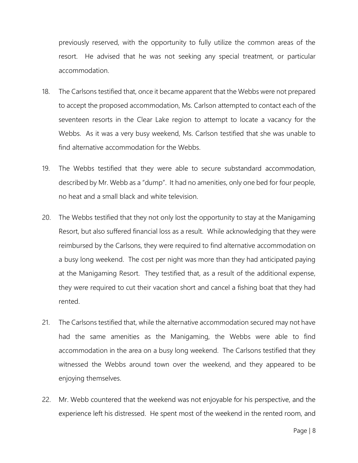previously reserved, with the opportunity to fully utilize the common areas of the resort. He advised that he was not seeking any special treatment, or particular accommodation.

- 18. The Carlsons testified that, once it became apparent that the Webbs were not prepared to accept the proposed accommodation, Ms. Carlson attempted to contact each of the seventeen resorts in the Clear Lake region to attempt to locate a vacancy for the Webbs. As it was a very busy weekend, Ms. Carlson testified that she was unable to find alternative accommodation for the Webbs.
- 19. The Webbs testified that they were able to secure substandard accommodation, described by Mr. Webb as a "dump". It had no amenities, only one bed for four people, no heat and a small black and white television.
- 20. The Webbs testified that they not only lost the opportunity to stay at the Manigaming Resort, but also suffered financial loss as a result. While acknowledging that they were reimbursed by the Carlsons, they were required to find alternative accommodation on a busy long weekend. The cost per night was more than they had anticipated paying at the Manigaming Resort. They testified that, as a result of the additional expense, they were required to cut their vacation short and cancel a fishing boat that they had rented.
- 21. The Carlsons testified that, while the alternative accommodation secured may not have had the same amenities as the Manigaming, the Webbs were able to find accommodation in the area on a busy long weekend. The Carlsons testified that they witnessed the Webbs around town over the weekend, and they appeared to be enjoying themselves.
- 22. Mr. Webb countered that the weekend was not enjoyable for his perspective, and the experience left his distressed. He spent most of the weekend in the rented room, and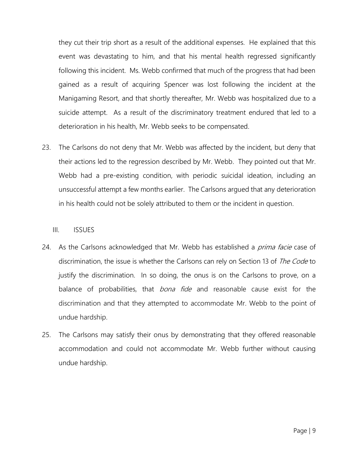they cut their trip short as a result of the additional expenses. He explained that this event was devastating to him, and that his mental health regressed significantly following this incident. Ms. Webb confirmed that much of the progress that had been gained as a result of acquiring Spencer was lost following the incident at the Manigaming Resort, and that shortly thereafter, Mr. Webb was hospitalized due to a suicide attempt. As a result of the discriminatory treatment endured that led to a deterioration in his health, Mr. Webb seeks to be compensated.

23. The Carlsons do not deny that Mr. Webb was affected by the incident, but deny that their actions led to the regression described by Mr. Webb. They pointed out that Mr. Webb had a pre-existing condition, with periodic suicidal ideation, including an unsuccessful attempt a few months earlier. The Carlsons argued that any deterioration in his health could not be solely attributed to them or the incident in question.

#### III. ISSUES

- 24. As the Carlsons acknowledged that Mr. Webb has established a *prima facie* case of discrimination, the issue is whether the Carlsons can rely on Section 13 of The Code to justify the discrimination. In so doing, the onus is on the Carlsons to prove, on a balance of probabilities, that *bona fide* and reasonable cause exist for the discrimination and that they attempted to accommodate Mr. Webb to the point of undue hardship.
- 25. The Carlsons may satisfy their onus by demonstrating that they offered reasonable accommodation and could not accommodate Mr. Webb further without causing undue hardship.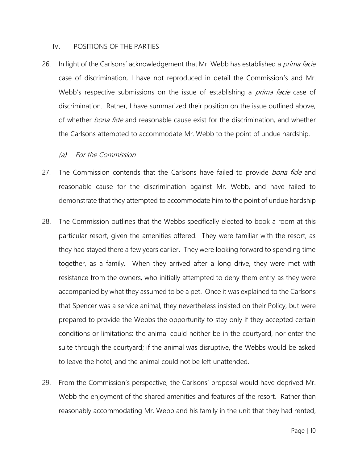#### IV. POSITIONS OF THE PARTIES

26. In light of the Carlsons' acknowledgement that Mr. Webb has established a *prima facie* case of discrimination, I have not reproduced in detail the Commission's and Mr. Webb's respective submissions on the issue of establishing a *prima facie* case of discrimination. Rather, I have summarized their position on the issue outlined above, of whether *bona fide* and reasonable cause exist for the discrimination, and whether the Carlsons attempted to accommodate Mr. Webb to the point of undue hardship.

(a) For the Commission

- 27. The Commission contends that the Carlsons have failed to provide *bona fide* and reasonable cause for the discrimination against Mr. Webb, and have failed to demonstrate that they attempted to accommodate him to the point of undue hardship
- 28. The Commission outlines that the Webbs specifically elected to book a room at this particular resort, given the amenities offered. They were familiar with the resort, as they had stayed there a few years earlier. They were looking forward to spending time together, as a family. When they arrived after a long drive, they were met with resistance from the owners, who initially attempted to deny them entry as they were accompanied by what they assumed to be a pet. Once it was explained to the Carlsons that Spencer was a service animal, they nevertheless insisted on their Policy, but were prepared to provide the Webbs the opportunity to stay only if they accepted certain conditions or limitations: the animal could neither be in the courtyard, nor enter the suite through the courtyard; if the animal was disruptive, the Webbs would be asked to leave the hotel; and the animal could not be left unattended.
- 29. From the Commission's perspective, the Carlsons' proposal would have deprived Mr. Webb the enjoyment of the shared amenities and features of the resort. Rather than reasonably accommodating Mr. Webb and his family in the unit that they had rented,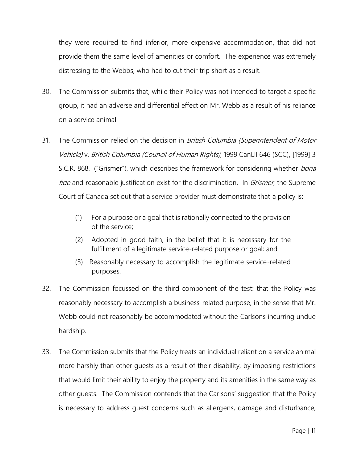they were required to find inferior, more expensive accommodation, that did not provide them the same level of amenities or comfort. The experience was extremely distressing to the Webbs, who had to cut their trip short as a result.

- 30. The Commission submits that, while their Policy was not intended to target a specific group, it had an adverse and differential effect on Mr. Webb as a result of his reliance on a service animal.
- 31. The Commission relied on the decision in *British Columbia (Superintendent of Motor* Vehicle) v. British Columbia (Council of Human Rights), [1999 CanLII 646 \(SCC\),](https://www.canlii.org/en/ca/scc/doc/1999/1999canlii646/1999canlii646.html) [1999] 3 S.C.R. 868. ("Grismer"), which describes the framework for considering whether *bona* fide and reasonable justification exist for the discrimination. In *Grismer*, the Supreme Court of Canada set out that a service provider must demonstrate that a policy is:
	- (1) For a purpose or a goal that is rationally connected to the provision of the service;
	- (2) Adopted in good faith, in the belief that it is necessary for the fulfillment of a legitimate service-related purpose or goal; and
	- (3) Reasonably necessary to accomplish the legitimate service-related purposes.
- 32. The Commission focussed on the third component of the test: that the Policy was reasonably necessary to accomplish a business-related purpose, in the sense that Mr. Webb could not reasonably be accommodated without the Carlsons incurring undue hardship.
- 33. The Commission submits that the Policy treats an individual reliant on a service animal more harshly than other guests as a result of their disability, by imposing restrictions that would limit their ability to enjoy the property and its amenities in the same way as other guests. The Commission contends that the Carlsons' suggestion that the Policy is necessary to address guest concerns such as allergens, damage and disturbance,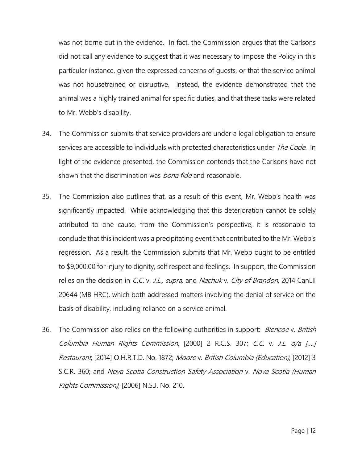was not borne out in the evidence. In fact, the Commission argues that the Carlsons did not call any evidence to suggest that it was necessary to impose the Policy in this particular instance, given the expressed concerns of guests, or that the service animal was not housetrained or disruptive. Instead, the evidence demonstrated that the animal was a highly trained animal for specific duties, and that these tasks were related to Mr. Webb's disability.

- 34. The Commission submits that service providers are under a legal obligation to ensure services are accessible to individuals with protected characteristics under The Code. In light of the evidence presented, the Commission contends that the Carlsons have not shown that the discrimination was *bona fide* and reasonable.
- 35. The Commission also outlines that, as a result of this event, Mr. Webb's health was significantly impacted. While acknowledging that this deterioration cannot be solely attributed to one cause, from the Commission's perspective, it is reasonable to conclude that this incident was a precipitating event that contributed to the Mr. Webb's regression. As a result, the Commission submits that Mr. Webb ought to be entitled to \$9,000.00 for injury to dignity, self respect and feelings. In support, the Commission relies on the decision in C.C. v. J.L., supra, and Nachuk v. City of Brandon, 2014 CanLII 20644 (MB HRC), which both addressed matters involving the denial of service on the basis of disability, including reliance on a service animal.
- 36. The Commission also relies on the following authorities in support: *Blencoe v. British* Columbia Human Rights Commission, [2000] 2 R.C.S. 307; C.C. v. J.L. o/a [….] Restaurant, [2014] O.H.R.T.D. No. 1872; Moore v. British Columbia (Education), [2012] 3 S.C.R. 360; and Nova Scotia Construction Safety Association v. Nova Scotia (Human Rights Commission), [2006] N.S.J. No. 210.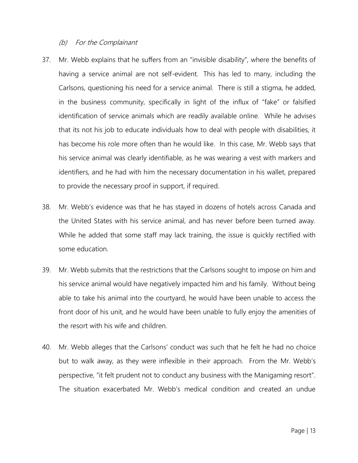#### (b) For the Complainant

- 37. Mr. Webb explains that he suffers from an "invisible disability", where the benefits of having a service animal are not self-evident. This has led to many, including the Carlsons, questioning his need for a service animal. There is still a stigma, he added, in the business community, specifically in light of the influx of "fake" or falsified identification of service animals which are readily available online. While he advises that its not his job to educate individuals how to deal with people with disabilities, it has become his role more often than he would like. In this case, Mr. Webb says that his service animal was clearly identifiable, as he was wearing a vest with markers and identifiers, and he had with him the necessary documentation in his wallet, prepared to provide the necessary proof in support, if required.
- 38. Mr. Webb's evidence was that he has stayed in dozens of hotels across Canada and the United States with his service animal, and has never before been turned away. While he added that some staff may lack training, the issue is quickly rectified with some education.
- 39. Mr. Webb submits that the restrictions that the Carlsons sought to impose on him and his service animal would have negatively impacted him and his family. Without being able to take his animal into the courtyard, he would have been unable to access the front door of his unit, and he would have been unable to fully enjoy the amenities of the resort with his wife and children.
- 40. Mr. Webb alleges that the Carlsons' conduct was such that he felt he had no choice but to walk away, as they were inflexible in their approach. From the Mr. Webb's perspective, "it felt prudent not to conduct any business with the Manigaming resort". The situation exacerbated Mr. Webb's medical condition and created an undue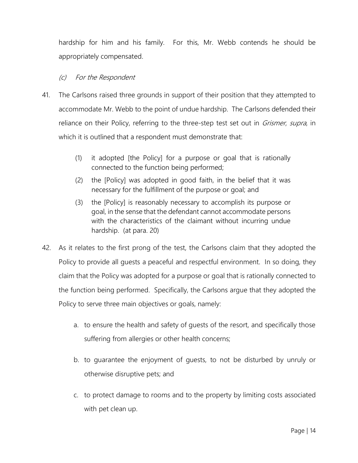hardship for him and his family. For this, Mr. Webb contends he should be appropriately compensated.

## (c) For the Respondent

- 41. The Carlsons raised three grounds in support of their position that they attempted to accommodate Mr. Webb to the point of undue hardship. The Carlsons defended their reliance on their Policy, referring to the three-step test set out in *Grismer, supra*, in which it is outlined that a respondent must demonstrate that:
	- (1) it adopted [the Policy] for a purpose or goal that is rationally connected to the function being performed;
	- (2) the [Policy] was adopted in good faith, in the belief that it was necessary for the fulfillment of the purpose or goal; and
	- (3) the [Policy] is reasonably necessary to accomplish its purpose or goal, in the sense that the defendant cannot accommodate persons with the characteristics of the claimant without incurring undue hardship. (at para. 20)
- 42. As it relates to the first prong of the test, the Carlsons claim that they adopted the Policy to provide all guests a peaceful and respectful environment. In so doing, they claim that the Policy was adopted for a purpose or goal that is rationally connected to the function being performed. Specifically, the Carlsons argue that they adopted the Policy to serve three main objectives or goals, namely:
	- a. to ensure the health and safety of guests of the resort, and specifically those suffering from allergies or other health concerns;
	- b. to guarantee the enjoyment of guests, to not be disturbed by unruly or otherwise disruptive pets; and
	- c. to protect damage to rooms and to the property by limiting costs associated with pet clean up.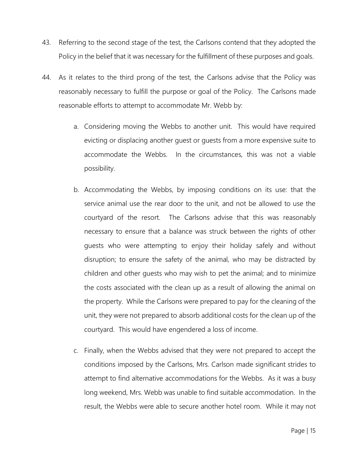- 43. Referring to the second stage of the test, the Carlsons contend that they adopted the Policy in the belief that it was necessary for the fulfillment of these purposes and goals.
- 44. As it relates to the third prong of the test, the Carlsons advise that the Policy was reasonably necessary to fulfill the purpose or goal of the Policy. The Carlsons made reasonable efforts to attempt to accommodate Mr. Webb by:
	- a. Considering moving the Webbs to another unit. This would have required evicting or displacing another guest or guests from a more expensive suite to accommodate the Webbs. In the circumstances, this was not a viable possibility.
	- b. Accommodating the Webbs, by imposing conditions on its use: that the service animal use the rear door to the unit, and not be allowed to use the courtyard of the resort. The Carlsons advise that this was reasonably necessary to ensure that a balance was struck between the rights of other guests who were attempting to enjoy their holiday safely and without disruption; to ensure the safety of the animal, who may be distracted by children and other guests who may wish to pet the animal; and to minimize the costs associated with the clean up as a result of allowing the animal on the property. While the Carlsons were prepared to pay for the cleaning of the unit, they were not prepared to absorb additional costs for the clean up of the courtyard. This would have engendered a loss of income.
	- c. Finally, when the Webbs advised that they were not prepared to accept the conditions imposed by the Carlsons, Mrs. Carlson made significant strides to attempt to find alternative accommodations for the Webbs. As it was a busy long weekend, Mrs. Webb was unable to find suitable accommodation. In the result, the Webbs were able to secure another hotel room. While it may not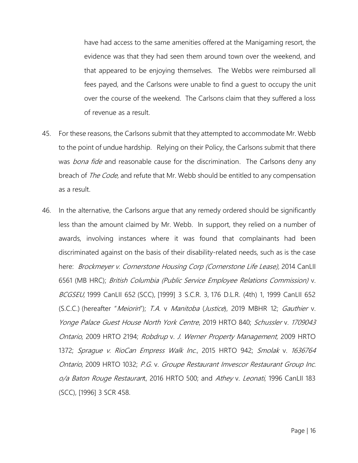have had access to the same amenities offered at the Manigaming resort, the evidence was that they had seen them around town over the weekend, and that appeared to be enjoying themselves. The Webbs were reimbursed all fees payed, and the Carlsons were unable to find a guest to occupy the unit over the course of the weekend. The Carlsons claim that they suffered a loss of revenue as a result.

- 45. For these reasons, the Carlsons submit that they attempted to accommodate Mr. Webb to the point of undue hardship. Relying on their Policy, the Carlsons submit that there was bona fide and reasonable cause for the discrimination. The Carlsons deny any breach of *The Code*, and refute that Mr. Webb should be entitled to any compensation as a result.
- 46. In the alternative, the Carlsons argue that any remedy ordered should be significantly less than the amount claimed by Mr. Webb. In support, they relied on a number of awards, involving instances where it was found that complainants had been discriminated against on the basis of their disability-related needs, such as is the case here: Brockmeyer v. [Cornerstone Housing Corp \(Cornerstone Life Lease\),](https://www.canlii.org/en/mb/mbhrc/doc/2014/2014canlii6561/2014canlii6561.html?searchUrlHash=AAAAAQAbImJyb2NrbWV5ZXIiICJodW1hbiByaWdodHMiAAAAAAE&resultIndex=1) 2014 CanLII 6561 (MB HRC); British Columbia (Public Service Employee Relations Commission) v. BCGSEU, 1999 CanLII 652 (SCC), [1999] 3 S.C.R. 3, [176 D.L.R. \(4th\) 1,](https://www.canlii.org/en/ca/scc/doc/1999/1999canlii652/1999canlii652.html) 1999 CanLII 652 (S.C.C.) (hereafter "Meiorin"); T.A. v [Manitoba](https://www.canlii.org/en/mb/mbhrc/doc/2019/2019mbhr12/2019mbhr12.html?searchUrlHash=AAAAAQBMVC5BLiBhbmQgR292ZXJubWVudCBvZiBNYW5pdG9iYSwgTWFuaXRvYmEgSnVzdGljZSwgVml0YWwgU3RhdGlzdGljcyBBZ2VuY3ksIAAAAAAB&resultIndex=1) (Justice), 2019 MBHR 12; [Gauthier](https://www.canlii.org/en/on/onhrt/doc/2019/2019hrto840/2019hrto840.html?searchUrlHash=AAAAAQAVR2F1dGhpZXIgWW9uZ2UgUGFsYWNlAAAAAAE&resultIndex=1) v. [Yonge Palace Guest House North York Centre](https://www.canlii.org/en/on/onhrt/doc/2019/2019hrto840/2019hrto840.html?searchUrlHash=AAAAAQAVR2F1dGhpZXIgWW9uZ2UgUGFsYWNlAAAAAAE&resultIndex=1), 2019 HRTO 840; [Schussler](https://www.canlii.org/en/on/onhrt/doc/2009/2009hrto2194/2009hrto2194.html?searchUrlHash=AAAAAQAVc2NodXNzbGVyIGFuZCAxNzA5MDQzAAAAAAE&resultIndex=1) v. <sup>1709043</sup> [Ontario](https://www.canlii.org/en/on/onhrt/doc/2009/2009hrto2194/2009hrto2194.html?searchUrlHash=AAAAAQAVc2NodXNzbGVyIGFuZCAxNzA5MDQzAAAAAAE&resultIndex=1), 2009 HRTO 2194; Robdrup v. [J. Werner Property Management,](https://www.canlii.org/en/on/onhrt/doc/2009/2009hrto1372/2009hrto1372.html?searchUrlHash=AAAAAQAXcm9iZHJ1cCB3ZXJuZXIgcHJvcGVydHkAAAAAAQ&resultIndex=1) 2009 HRTO 1372; [Sprague v. RioCan Empress Walk Inc.](https://www.canlii.org/en/on/onhrt/doc/2015/2015hrto942/2015hrto942.html?searchUrlHash=AAAAAQASc3ByYWd1ZSBhbmQgcmlvY2FuAAAAAAE&resultIndex=1), 2015 HRTO 942; Smolak v. 1636764 [Ontario](https://www.canlii.org/en/on/onhrt/doc/2009/2009hrto1032/2009hrto1032.html?searchUrlHash=AAAAAQASc21vbGFrIGFuZCAxNjM2NzY0AAAAAAE&resultIndex=1), 2009 HRTO 1032; P.G. v. Groupe Restaurant [Imvescor Restaurant Group Inc.](https://www.canlii.org/en/on/onhrt/doc/2016/2016hrto500/2016hrto500.html?searchUrlHash=AAAAAQAaUC5HLiBhbmQgR3JvdXBlIFJlc3RhdXJhbnQAAAAAAQ&resultIndex=1) [o/a Baton Rouge Restauran](https://www.canlii.org/en/on/onhrt/doc/2016/2016hrto500/2016hrto500.html?searchUrlHash=AAAAAQAaUC5HLiBhbmQgR3JvdXBlIFJlc3RhdXJhbnQAAAAAAQ&resultIndex=1)t, 2016 HRTO 500; and Athey v. Leonati, 1996 CanLII 183 (SCC), [1996] 3 SCR 458.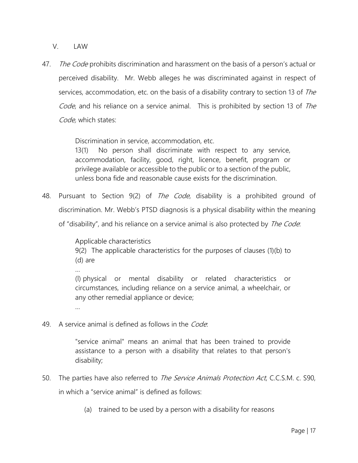V. LAW

47. The Code prohibits discrimination and harassment on the basis of a person's actual or perceived disability. Mr. Webb alleges he was discriminated against in respect of services, accommodation, etc. on the basis of a disability contrary to [section 13](https://www.canlii.org/en/nl/laws/stat/snl-2010-c-h-13.1/latest/snl-2010-c-h-13.1.html#sec11_smooth) of The Code, and his reliance on a service animal. This is prohibited by [section 13](https://www.canlii.org/en/nl/laws/stat/snl-2010-c-h-13.1/latest/snl-2010-c-h-13.1.html#sec11_smooth) of The [Code,](https://www.canlii.org/en/nl/laws/stat/snl-2010-c-h-13.1/latest/snl-2010-c-h-13.1.html) which states:

Discrimination in service, accommodation, etc.

[13\(1\)](http://web2.gov.mb.ca/laws/statutes/ccsm/h175f.php#13) No person shall discriminate with respect to any service, accommodation, facility, good, right, licence, benefit, program or privilege available or accessible to the public or to a section of the public, unless bona fide and reasonable cause exists for the discrimination.

48. Pursuant to [Section 9\(2\)](https://www.canlii.org/en/nl/laws/stat/snl-2010-c-h-13.1/latest/snl-2010-c-h-13.1.html#sec9subsec1_smooth) of *The [Code](https://www.canlii.org/en/nl/laws/stat/snl-2010-c-h-13.1/latest/snl-2010-c-h-13.1.html)*, disability is a prohibited ground of discrimination. Mr. Webb's PTSD diagnosis is a physical disability within the meaning of "disability", and his reliance on a service animal is also protected by *The Code*:

> Applicable characteristics [9\(2\)](http://web2.gov.mb.ca/laws/statutes/ccsm/h175f.php#9(2)) The applicable characteristics for the purposes of clauses (1)(b) to (d) are …

> (l) physical or mental disability or related characteristics or circumstances, including reliance on a service animal, a wheelchair, or any other remedial appliance or device;

49. A service animal is defined as follows in the *Code*:

"service animal" means an animal that has been trained to provide assistance to a person with a disability that relates to that person's disability;

- 50. The parties have also referred to *Th[e Service Animals Protection Act](https://www.canlii.org/en/mb/laws/stat/ccsm-c-s90/latest/ccsm-c-s90.html)*, C.C.S.M. c. S90, in which a "service animal" is defined as follows:
	- (a) trained to be used by a person with a disability for reasons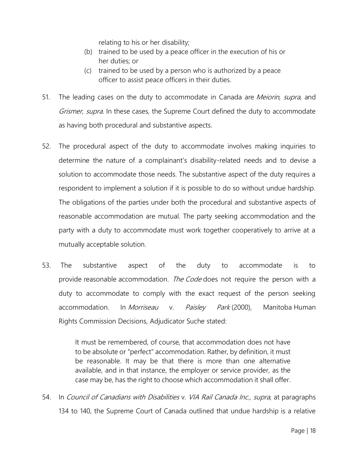relating to his or her disability;

- (b) trained to be used by a peace officer in the execution of his or her duties; or
- (c) trained to be used by a person who is authorized by a peace officer to assist peace officers in their duties.
- 51. The leading cases on the duty to accommodate in Canada are *Meiorin, supra*, and Grismer, supra. In these cases, the Supreme Court defined the duty to accommodate as having both procedural and substantive aspects.
- 52. The procedural aspect of the duty to accommodate involves making inquiries to determine the nature of a complainant's disability-related needs and to devise a solution to accommodate those needs. The substantive aspect of the duty requires a respondent to implement a solution if it is possible to do so without undue hardship. The obligations of the parties under both the procedural and substantive aspects of reasonable accommodation are mutual. The party seeking accommodation and the party with a duty to accommodate must work together cooperatively to arrive at a mutually acceptable solution.
- 53. The substantive aspect of the duty to accommodate is to provide reasonable accommodation. The Code does not require the person with a duty to accommodate to comply with the exact request of the person seeking accommodation. In *Morriseau* v. Paisley Park (2000), Manitoba Human Rights Commission Decisions, Adjudicator Suche stated:

It must be remembered, of course, that accommodation does not have to be absolute or "perfect" accommodation. Rather, by definition, it must be reasonable. It may be that there is more than one alternative available, and in that instance, the employer or service provider, as the case may be, has the right to choose which accommodation it shall offer.

54. In Council of Canadians with Disabilities v. VIA Rail Canada Inc., supra, at paragraphs 134 to 140, the Supreme Court of Canada outlined that undue hardship is a relative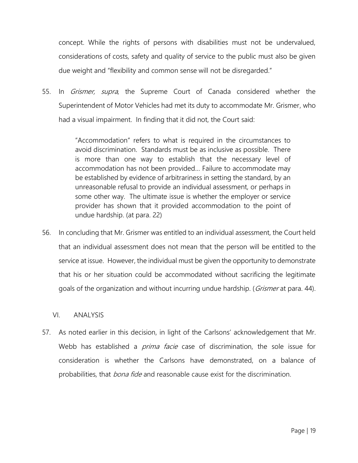concept. While the rights of persons with disabilities must not be undervalued, considerations of costs, safety and quality of service to the public must also be given due weight and "flexibility and common sense will not be disregarded."

55. In *Grismer, supra*, the Supreme Court of Canada considered whether the Superintendent of Motor Vehicles had met its duty to accommodate Mr. Grismer, who had a visual impairment. In finding that it did not, the Court said:

> "Accommodation" refers to what is required in the circumstances to avoid discrimination. Standards must be as inclusive as possible. There is more than one way to establish that the necessary level of accommodation has not been provided… Failure to accommodate may be established by evidence of arbitrariness in setting the standard, by an unreasonable refusal to provide an individual assessment, or perhaps in some other way. The ultimate issue is whether the employer or service provider has shown that it provided accommodation to the point of undue hardship. (at para. 22)

56. In concluding that Mr. Grismer was entitled to an individual assessment, the Court held that an individual assessment does not mean that the person will be entitled to the service at issue. However, the individual must be given the opportunity to demonstrate that his or her situation could be accommodated without sacrificing the legitimate goals of the organization and without incurring undue hardship. (*Grismer* at para. [44\)](https://www.canlii.org/en/ca/scc/doc/1999/1999canlii646/1999canlii646.html#par44).

VI. ANALYSIS

57. As noted earlier in this decision, in light of the Carlsons' acknowledgement that Mr. Webb has established a *prima facie* case of discrimination, the sole issue for consideration is whether the Carlsons have demonstrated, on a balance of probabilities, that *bona fide* and reasonable cause exist for the discrimination.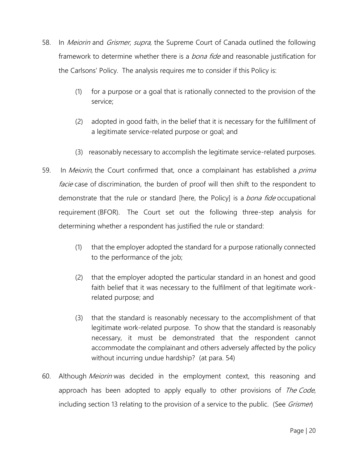- 58. In *Meiorin* and *Grismer, supra*, the Supreme Court of Canada outlined the following framework to determine whether there is a *bona fide* and reasonable justification for the Carlsons' Policy. The analysis requires me to consider if this Policy is:
	- (1) for a purpose or a goal that is rationally connected to the provision of the service;
	- (2) adopted in good faith, in the belief that it is necessary for the fulfillment of a legitimate service-related purpose or goal; and
	- (3) reasonably necessary to accomplish the legitimate service-related purposes.
- 59. In Meiorin, the Court confirmed that, once a complainant has established a prima facie case of discrimination, the burden of proof will then shift to the respondent to demonstrate that the rule or standard [here, the Policy] is a *bona fide* occupational requirement (BFOR). The Court set out the following three-step analysis for determining whether a respondent has justified the rule or standard:
	- (1) that the employer adopted the standard for a purpose rationally connected to the performance of the job;
	- (2) that the employer adopted the particular standard in an honest and good faith belief that it was necessary to the fulfilment of that legitimate workrelated purpose; and
	- (3) that the standard is reasonably necessary to the accomplishment of that legitimate work-related purpose. To show that the standard is reasonably necessary, it must be demonstrated that the respondent cannot accommodate the complainant and others adversely affected by the policy without incurring undue hardship? (at para. 54)
- 60. Although *Meiorin* was decided in the employment context, this reasoning and approach has been adopted to apply equally to other provisions of *The Code*, including section 13 relating to the provision of a service to the public. (See *Grismen*)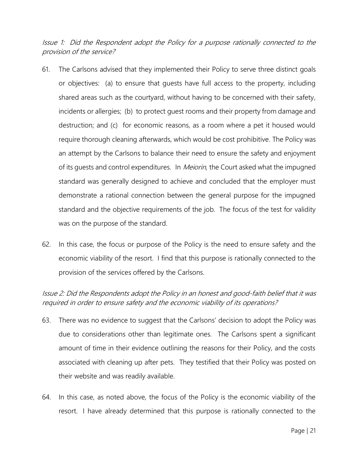Issue 1: Did the Respondent adopt the Policy for a purpose rationally connected to the provision of the service?

- 61. The Carlsons advised that they implemented their Policy to serve three distinct goals or objectives: (a) to ensure that guests have full access to the property, including shared areas such as the courtyard, without having to be concerned with their safety, incidents or allergies; (b) to protect guest rooms and their property from damage and destruction; and (c) for economic reasons, as a room where a pet it housed would require thorough cleaning afterwards, which would be cost prohibitive. The Policy was an attempt by the Carlsons to balance their need to ensure the safety and enjoyment of its quests and control expenditures. In *Meiorin*, the Court asked what the impugned standard was generally designed to achieve and concluded that the employer must demonstrate a rational connection between the general purpose for the impugned standard and the objective requirements of the job. The focus of the test for validity was on the purpose of the standard.
- 62. In this case, the focus or purpose of the Policy is the need to ensure safety and the economic viability of the resort. I find that this purpose is rationally connected to the provision of the services offered by the Carlsons.

Issue 2: Did the Respondents adopt the Policy in an honest and good-faith belief that it was required in order to ensure safety and the economic viability of its operations?

- 63. There was no evidence to suggest that the Carlsons' decision to adopt the Policy was due to considerations other than legitimate ones. The Carlsons spent a significant amount of time in their evidence outlining the reasons for their Policy, and the costs associated with cleaning up after pets. They testified that their Policy was posted on their website and was readily available.
- 64. In this case, as noted above, the focus of the Policy is the economic viability of the resort. I have already determined that this purpose is rationally connected to the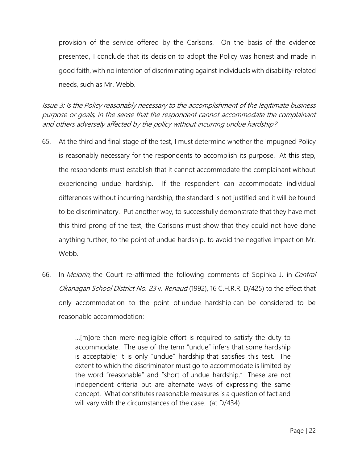provision of the service offered by the Carlsons. On the basis of the evidence presented, I conclude that its decision to adopt the Policy was honest and made in good faith, with no intention of discriminating against individuals with disability-related needs, such as Mr. Webb.

Issue 3: Is the Policy reasonably necessary to the accomplishment of the legitimate business purpose or goals, in the sense that the respondent cannot accommodate the complainant and others adversely affected by the policy without incurring undue hardship?

- 65. At the third and final stage of the test, I must determine whether the impugned Policy is reasonably necessary for the respondents to accomplish its purpose. At this step, the respondents must establish that it cannot accommodate the complainant without experiencing undue hardship. If the respondent can accommodate individual differences without incurring hardship, the standard is not justified and it will be found to be discriminatory. Put another way, to successfully demonstrate that they have met this third prong of the test, the Carlsons must show that they could not have done anything further, to the point of undue hardship, to avoid the negative impact on Mr. Webb.
- 66. In Meiorin, the Court re-affirmed the following comments of Sopinka J. in Central Okanagan School District No. 23 v. Renaud (1992), 16 C.H.R.R. D/425) to the effect that only accommodation to the point of undue hardship can be considered to be reasonable accommodation:

…[m]ore than mere negligible effort is required to satisfy the duty to accommodate. The use of the term "undue" infers that some hardship is acceptable; it is only "undue" hardship that satisfies this test. The extent to which the discriminator must go to accommodate is limited by the word "reasonable" and "short of undue hardship." These are not independent criteria but are alternate ways of expressing the same concept. What constitutes reasonable measures is a question of fact and will vary with the circumstances of the case. (at D/434)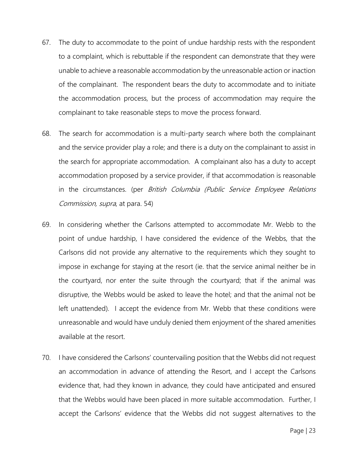- 67. The duty to accommodate to the point of undue hardship rests with the respondent to a complaint, which is rebuttable if the respondent can demonstrate that they were unable to achieve a reasonable accommodation by the unreasonable action or inaction of the complainant. The respondent bears the duty to accommodate and to initiate the accommodation process, but the process of accommodation may require the complainant to take reasonable steps to move the process forward.
- 68. The search for accommodation is a multi-party search where both the complainant and the service provider play a role; and there is a duty on the complainant to assist in the search for appropriate accommodation. A complainant also has a duty to accept accommodation proposed by a service provider, if that accommodation is reasonable in the circumstances. (per British Columbia (Public Service Employee Relations Commission, supra, at para. 54)
- 69. In considering whether the Carlsons attempted to accommodate Mr. Webb to the point of undue hardship, I have considered the evidence of the Webbs, that the Carlsons did not provide any alternative to the requirements which they sought to impose in exchange for staying at the resort (ie. that the service animal neither be in the courtyard, nor enter the suite through the courtyard; that if the animal was disruptive, the Webbs would be asked to leave the hotel; and that the animal not be left unattended). I accept the evidence from Mr. Webb that these conditions were unreasonable and would have unduly denied them enjoyment of the shared amenities available at the resort.
- 70. I have considered the Carlsons' countervailing position that the Webbs did not request an accommodation in advance of attending the Resort, and I accept the Carlsons evidence that, had they known in advance, they could have anticipated and ensured that the Webbs would have been placed in more suitable accommodation. Further, I accept the Carlsons' evidence that the Webbs did not suggest alternatives to the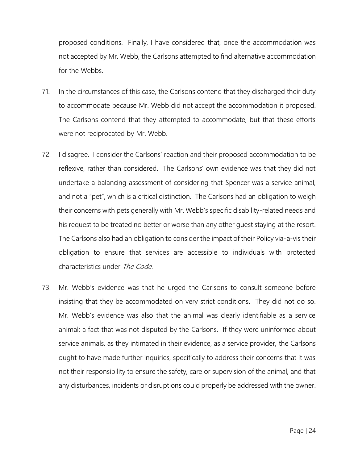proposed conditions. Finally, I have considered that, once the accommodation was not accepted by Mr. Webb, the Carlsons attempted to find alternative accommodation for the Webbs.

- 71. In the circumstances of this case, the Carlsons contend that they discharged their duty to accommodate because Mr. Webb did not accept the accommodation it proposed. The Carlsons contend that they attempted to accommodate, but that these efforts were not reciprocated by Mr. Webb.
- 72. I disagree. I consider the Carlsons' reaction and their proposed accommodation to be reflexive, rather than considered. The Carlsons' own evidence was that they did not undertake a balancing assessment of considering that Spencer was a service animal, and not a "pet", which is a critical distinction. The Carlsons had an obligation to weigh their concerns with pets generally with Mr. Webb's specific disability-related needs and his request to be treated no better or worse than any other guest staying at the resort. The Carlsons also had an obligation to consider the impact of their Policy via-a-vis their obligation to ensure that services are accessible to individuals with protected characteristics under The Code.
- 73. Mr. Webb's evidence was that he urged the Carlsons to consult someone before insisting that they be accommodated on very strict conditions. They did not do so. Mr. Webb's evidence was also that the animal was clearly identifiable as a service animal: a fact that was not disputed by the Carlsons. If they were uninformed about service animals, as they intimated in their evidence, as a service provider, the Carlsons ought to have made further inquiries, specifically to address their concerns that it was not their responsibility to ensure the safety, care or supervision of the animal, and that any disturbances, incidents or disruptions could properly be addressed with the owner.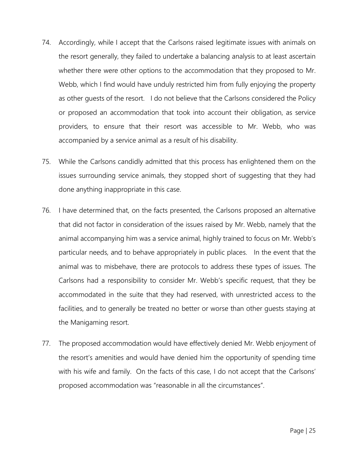- 74. Accordingly, while I accept that the Carlsons raised legitimate issues with animals on the resort generally, they failed to undertake a balancing analysis to at least ascertain whether there were other options to the accommodation that they proposed to Mr. Webb, which I find would have unduly restricted him from fully enjoying the property as other guests of the resort. I do not believe that the Carlsons considered the Policy or proposed an accommodation that took into account their obligation, as service providers, to ensure that their resort was accessible to Mr. Webb, who was accompanied by a service animal as a result of his disability.
- 75. While the Carlsons candidly admitted that this process has enlightened them on the issues surrounding service animals, they stopped short of suggesting that they had done anything inappropriate in this case.
- 76. I have determined that, on the facts presented, the Carlsons proposed an alternative that did not factor in consideration of the issues raised by Mr. Webb, namely that the animal accompanying him was a service animal, highly trained to focus on Mr. Webb's particular needs, and to behave appropriately in public places. In the event that the animal was to misbehave, there are protocols to address these types of issues. The Carlsons had a responsibility to consider Mr. Webb's specific request, that they be accommodated in the suite that they had reserved, with unrestricted access to the facilities, and to generally be treated no better or worse than other guests staying at the Manigaming resort.
- 77. The proposed accommodation would have effectively denied Mr. Webb enjoyment of the resort's amenities and would have denied him the opportunity of spending time with his wife and family. On the facts of this case, I do not accept that the Carlsons' proposed accommodation was "reasonable in all the circumstances".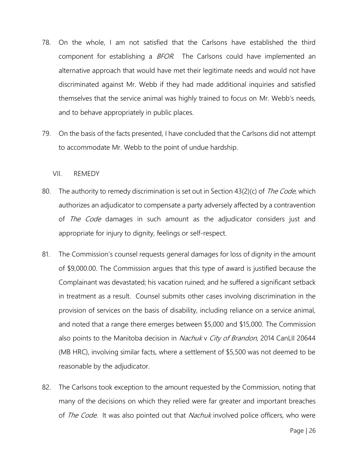- 78. On the whole, I am not satisfied that the Carlsons have established the third component for establishing a BFOR. The Carlsons could have implemented an alternative approach that would have met their legitimate needs and would not have discriminated against Mr. Webb if they had made additional inquiries and satisfied themselves that the service animal was highly trained to focus on Mr. Webb's needs, and to behave appropriately in public places.
- 79. On the basis of the facts presented, I have concluded that the Carlsons did not attempt to accommodate Mr. Webb to the point of undue hardship.

VII. REMEDY

- 80. The authority to remedy discrimination is set out in Section 43(2)(c) of *The Code*, which authorizes an adjudicator to compensate a party adversely affected by a contravention of *The Code* damages in such amount as the adjudicator considers just and appropriate for injury to dignity, feelings or self-respect.
- 81. The Commission's counsel requests general damages for loss of dignity in the amount of \$9,000.00. The Commission argues that this type of award is justified because the Complainant was devastated; his vacation ruined; and he suffered a significant setback in treatment as a result. Counsel submits other cases involving discrimination in the provision of services on the basis of disability, including reliance on a service animal, and noted that a range there emerges between \$5,000 and \$15,000. The Commission also points to the Manitoba decision in Nachuk v City of Brandon, 2014 CanLII 20644 (MB HRC), involving similar facts, where a settlement of \$5,500 was not deemed to be reasonable by the adjudicator.
- 82. The Carlsons took exception to the amount requested by the Commission, noting that many of the decisions on which they relied were far greater and important breaches of *The Code*. It was also pointed out that *Nachuk* involved police officers, who were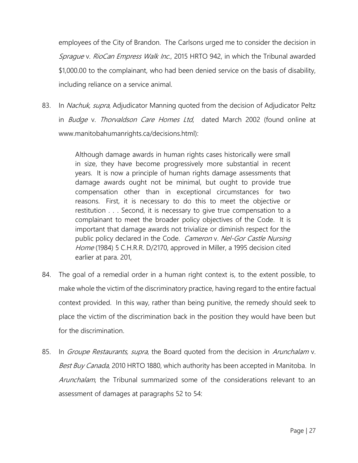employees of the City of Brandon. The Carlsons urged me to consider the decision in Sprague v. RioCan Empress Walk Inc., 2015 HRTO 942, in which the Tribunal awarded \$1,000.00 to the complainant, who had been denied service on the basis of disability, including reliance on a service animal.

83. In *Nachuk, supra*, Adjudicator Manning quoted from the decision of Adjudicator Peltz in Budge v. Thorvaldson Care Homes Ltd, dated March 2002 (found online at www.manitobahumanrights.ca/decisions.html):

> Although damage awards in human rights cases historically were small in size, they have become progressively more substantial in recent years. It is now a principle of human rights damage assessments that damage awards ought not be minimal, but ought to provide true compensation other than in exceptional circumstances for two reasons. First, it is necessary to do this to meet the objective or restitution . . . Second, it is necessary to give true compensation to a complainant to meet the broader policy objectives of the [Code.](https://www.canlii.org/en/mb/laws/stat/ccsm-c-h175/latest/ccsm-c-h175.html) It is important that damage awards not trivialize or diminish respect for the public policy declared in the [Code.](https://www.canlii.org/en/mb/laws/stat/ccsm-c-h175/latest/ccsm-c-h175.html) Cameron v. Nel-Gor Castle Nursing Home (1984) 5 C.H.R.R. D/2170, approved in Miller, a 1995 decision cited earlier at para. 201,

- 84. The goal of a remedial order in a human right context is, to the extent possible, to make whole the victim of the discriminatory practice, having regard to the entire factual context provided. In this way, rather than being punitive, the remedy should seek to place the victim of the discrimination back in the position they would have been but for the discrimination.
- 85. In *Groupe Restaurants, supra*, the Board quoted from the decision in *Arunchalam* v. Best Buy Canada, 2010 HRTO 1880, which authority has been accepted in Manitoba. In Arunchalam, the Tribunal summarized some of the considerations relevant to an assessment of damages at paragraphs 52 to 54: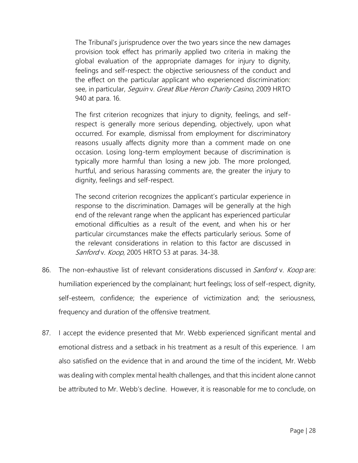The Tribunal's jurisprudence over the two years since the new damages provision took effect has primarily applied two criteria in making the global evaluation of the appropriate damages for injury to dignity, feelings and self-respect: the objective seriousness of the conduct and the effect on the particular applicant who experienced discrimination: see, in particular, *Seguin v. Great Blue Heron Charity Casino*, 2009 HRTO [940](https://www.canlii.org/en/on/onhrt/doc/2009/2009hrto940/2009hrto940.html) at para. [16.](https://www.canlii.org/en/on/onhrt/doc/2009/2009hrto940/2009hrto940.html#par16)

The first criterion recognizes that injury to dignity, feelings, and selfrespect is generally more serious depending, objectively, upon what occurred. For example, dismissal from employment for discriminatory reasons usually affects dignity more than a comment made on one occasion. Losing long-term employment because of discrimination is typically more harmful than losing a new job. The more prolonged, hurtful, and serious harassing comments are, the greater the injury to dignity, feelings and self-respect.

The second criterion recognizes the applicant's particular experience in response to the discrimination. Damages will be generally at the high end of the relevant range when the applicant has experienced particular emotional difficulties as a result of the event, and when his or her particular circumstances make the effects particularly serious. Some of the relevant considerations in relation to this factor are discussed in Sanford v. Koop, [2005 HRTO 53](https://www.canlii.org/en/on/onhrt/doc/2005/2005hrto53/2005hrto53.html) at paras. [34-38.](https://www.canlii.org/en/on/onhrt/doc/2005/2005hrto53/2005hrto53.html#par34)

- 86. The non-exhaustive list of relevant considerations discussed in *Sanford* v. Koop are: humiliation experienced by the complainant; hurt feelings; loss of self-respect, dignity, self-esteem, confidence; the experience of victimization and; the seriousness, frequency and duration of the offensive treatment.
- 87. I accept the evidence presented that Mr. Webb experienced significant mental and emotional distress and a setback in his treatment as a result of this experience. I am also satisfied on the evidence that in and around the time of the incident, Mr. Webb was dealing with complex mental health challenges, and that this incident alone cannot be attributed to Mr. Webb's decline. However, it is reasonable for me to conclude, on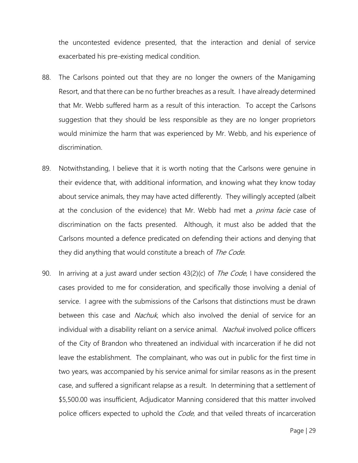the uncontested evidence presented, that the interaction and denial of service exacerbated his pre-existing medical condition.

- 88. The Carlsons pointed out that they are no longer the owners of the Manigaming Resort, and that there can be no further breaches as a result. I have already determined that Mr. Webb suffered harm as a result of this interaction. To accept the Carlsons suggestion that they should be less responsible as they are no longer proprietors would minimize the harm that was experienced by Mr. Webb, and his experience of discrimination.
- 89. Notwithstanding, I believe that it is worth noting that the Carlsons were genuine in their evidence that, with additional information, and knowing what they know today about service animals, they may have acted differently. They willingly accepted (albeit at the conclusion of the evidence) that Mr. Webb had met a *prima facie* case of discrimination on the facts presented. Although, it must also be added that the Carlsons mounted a defence predicated on defending their actions and denying that they did anything that would constitute a breach of The Code.
- 90. In arriving at a just award under section 43(2)(c) of *The Code*, I have considered the cases provided to me for consideration, and specifically those involving a denial of service. I agree with the submissions of the Carlsons that distinctions must be drawn between this case and *Nachuk*, which also involved the denial of service for an individual with a disability reliant on a service animal. Nachuk involved police officers of the City of Brandon who threatened an individual with incarceration if he did not leave the establishment. The complainant, who was out in public for the first time in two years, was accompanied by his service animal for similar reasons as in the present case, and suffered a significant relapse as a result. In determining that a settlement of \$5,500.00 was insufficient, Adjudicator Manning considered that this matter involved police officers expected to uphold the *Code*, and that veiled threats of incarceration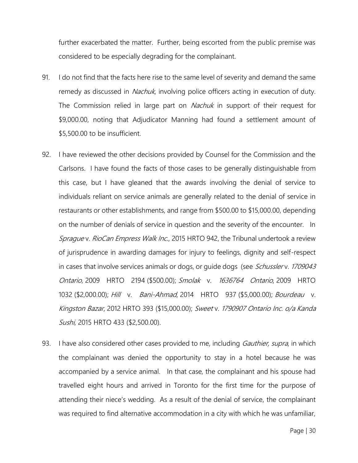further exacerbated the matter. Further, being escorted from the public premise was considered to be especially degrading for the complainant.

- 91. I do not find that the facts here rise to the same level of severity and demand the same remedy as discussed in *Nachuk*, involving police officers acting in execution of duty. The Commission relied in large part on *Nachuk* in support of their request for \$9,000.00, noting that Adjudicator Manning had found a settlement amount of \$5,500.00 to be insufficient.
- 92. I have reviewed the other decisions provided by Counsel for the Commission and the Carlsons. I have found the facts of those cases to be generally distinguishable from this case, but I have gleaned that the awards involving the denial of service to individuals reliant on service animals are generally related to the denial of service in restaurants or other establishments, and range from \$500.00 to \$15,000.00, depending on the number of denials of service in question and the severity of the encounter. In Sprague v. RioCan Empress Walk Inc., [2015 HRTO 942,](https://www.canlii.org/en/on/onhrt/doc/2015/2015hrto942/2015hrto942.html) the Tribunal undertook a review of jurisprudence in awarding damages for injury to feelings, dignity and self-respect in cases that involve services animals or dogs, or quide dogs (see Schusslerv. 1709043 Ontario, [2009 HRTO 2194](https://www.canlii.org/en/on/onhrt/doc/2009/2009hrto2194/2009hrto2194.html) (\$500.00); Smolak v. 1636764 Ontario, [2009 HRTO](https://www.canlii.org/en/on/onhrt/doc/2009/2009hrto1032/2009hrto1032.html)  [1032](https://www.canlii.org/en/on/onhrt/doc/2009/2009hrto1032/2009hrto1032.html) (\$2,000.00); Hill v. Bani-Ahmad, [2014 HRTO 937](https://www.canlii.org/en/on/onhrt/doc/2014/2014hrto937/2014hrto937.html) (\$5,000.00); Bourdeau v. Kingston Bazar, [2012 HRTO 393](https://www.canlii.org/en/on/onhrt/doc/2012/2012hrto393/2012hrto393.html) (\$15,000.00); Sweet v. 1790907 Ontario Inc. o/a Kanda Sushi, [2015 HRTO 433](https://www.canlii.org/en/on/onhrt/doc/2015/2015hrto433/2015hrto433.html) (\$2,500.00).
- 93. I have also considered other cases provided to me, including *Gauthier, supra*, in which the complainant was denied the opportunity to stay in a hotel because he was accompanied by a service animal. In that case, the complainant and his spouse had travelled eight hours and arrived in Toronto for the first time for the purpose of attending their niece's wedding. As a result of the denial of service, the complainant was required to find alternative accommodation in a city with which he was unfamiliar,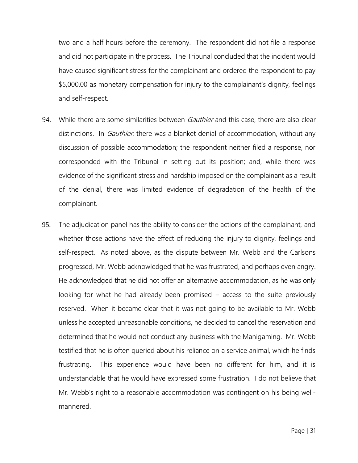two and a half hours before the ceremony. The respondent did not file a response and did not participate in the process. The Tribunal concluded that the incident would have caused significant stress for the complainant and ordered the respondent to pay \$5,000.00 as monetary compensation for injury to the complainant's dignity, feelings and self-respect.

- 94. While there are some similarities between *Gauthier* and this case, there are also clear distinctions. In *Gauthier*, there was a blanket denial of accommodation, without any discussion of possible accommodation; the respondent neither filed a response, nor corresponded with the Tribunal in setting out its position; and, while there was evidence of the significant stress and hardship imposed on the complainant as a result of the denial, there was limited evidence of degradation of the health of the complainant.
- 95. The adjudication panel has the ability to consider the actions of the complainant, and whether those actions have the effect of reducing the injury to dignity, feelings and self-respect. As noted above, as the dispute between Mr. Webb and the Carlsons progressed, Mr. Webb acknowledged that he was frustrated, and perhaps even angry. He acknowledged that he did not offer an alternative accommodation, as he was only looking for what he had already been promised – access to the suite previously reserved. When it became clear that it was not going to be available to Mr. Webb unless he accepted unreasonable conditions, he decided to cancel the reservation and determined that he would not conduct any business with the Manigaming. Mr. Webb testified that he is often queried about his reliance on a service animal, which he finds frustrating. This experience would have been no different for him, and it is understandable that he would have expressed some frustration. I do not believe that Mr. Webb's right to a reasonable accommodation was contingent on his being wellmannered.